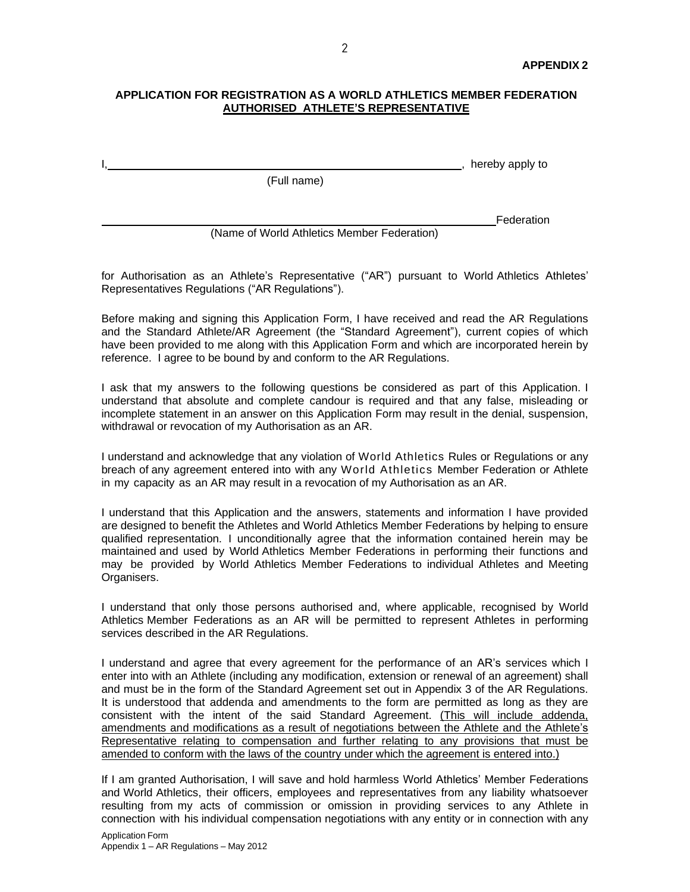#### **APPLICATION FOR REGISTRATION AS A WORLD ATHLETICS MEMBER FEDERATION AUTHORISED ATHLETE'S REPRESENTATIVE**

, hereby apply to

(Full name)

Federation

(Name of World Athletics Member Federation)

for Authorisation as an Athlete's Representative ("AR") pursuant to World Athletics Athletes' Representatives Regulations ("AR Regulations").

Before making and signing this Application Form, I have received and read the AR Regulations and the Standard Athlete/AR Agreement (the "Standard Agreement"), current copies of which have been provided to me along with this Application Form and which are incorporated herein by reference. I agree to be bound by and conform to the AR Regulations.

I ask that my answers to the following questions be considered as part of this Application. I understand that absolute and complete candour is required and that any false, misleading or incomplete statement in an answer on this Application Form may result in the denial, suspension, withdrawal or revocation of my Authorisation as an AR.

I understand and acknowledge that any violation of World Athletics Rules or Regulations or any breach of any agreement entered into with any World Athletics Member Federation or Athlete in my capacity as an AR may result in a revocation of my Authorisation as an AR.

I understand that this Application and the answers, statements and information I have provided are designed to benefit the Athletes and World Athletics Member Federations by helping to ensure qualified representation. I unconditionally agree that the information contained herein may be maintained and used by World Athletics Member Federations in performing their functions and may be provided by World Athletics Member Federations to individual Athletes and Meeting Organisers.

I understand that only those persons authorised and, where applicable, recognised by World Athletics Member Federations as an AR will be permitted to represent Athletes in performing services described in the AR Regulations.

I understand and agree that every agreement for the performance of an AR's services which I enter into with an Athlete (including any modification, extension or renewal of an agreement) shall and must be in the form of the Standard Agreement set out in Appendix 3 of the AR Regulations. It is understood that addenda and amendments to the form are permitted as long as they are consistent with the intent of the said Standard Agreement. (This will include addenda, amendments and modifications as a result of negotiations between the Athlete and the Athlete's Representative relating to compensation and further relating to any provisions that must be amended to conform with the laws of the country under which the agreement is entered into.)

If I am granted Authorisation, I will save and hold harmless World Athletics' Member Federations and World Athletics, their officers, employees and representatives from any liability whatsoever resulting from my acts of commission or omission in providing services to any Athlete in connection with his individual compensation negotiations with any entity or in connection with any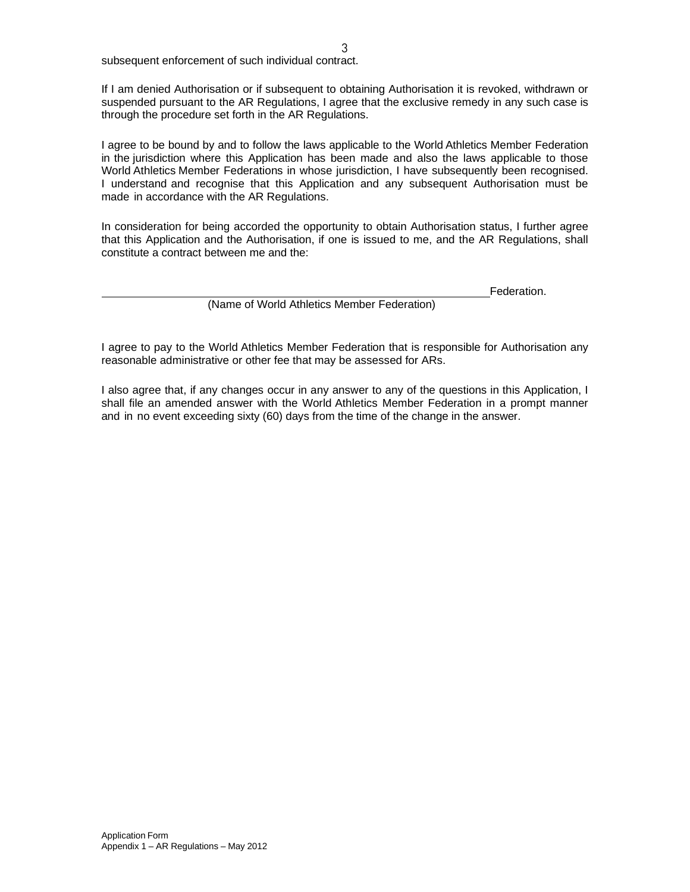subsequent enforcement of such individual contract.

If I am denied Authorisation or if subsequent to obtaining Authorisation it is revoked, withdrawn or suspended pursuant to the AR Regulations, I agree that the exclusive remedy in any such case is through the procedure set forth in the AR Regulations.

I agree to be bound by and to follow the laws applicable to the World Athletics Member Federation in the jurisdiction where this Application has been made and also the laws applicable to those World Athletics Member Federations in whose jurisdiction, I have subsequently been recognised. I understand and recognise that this Application and any subsequent Authorisation must be made in accordance with the AR Regulations.

In consideration for being accorded the opportunity to obtain Authorisation status, I further agree that this Application and the Authorisation, if one is issued to me, and the AR Regulations, shall constitute a contract between me and the:

Federation.

(Name of World Athletics Member Federation)

I agree to pay to the World Athletics Member Federation that is responsible for Authorisation any reasonable administrative or other fee that may be assessed for ARs.

I also agree that, if any changes occur in any answer to any of the questions in this Application, I shall file an amended answer with the World Athletics Member Federation in a prompt manner and in no event exceeding sixty (60) days from the time of the change in the answer.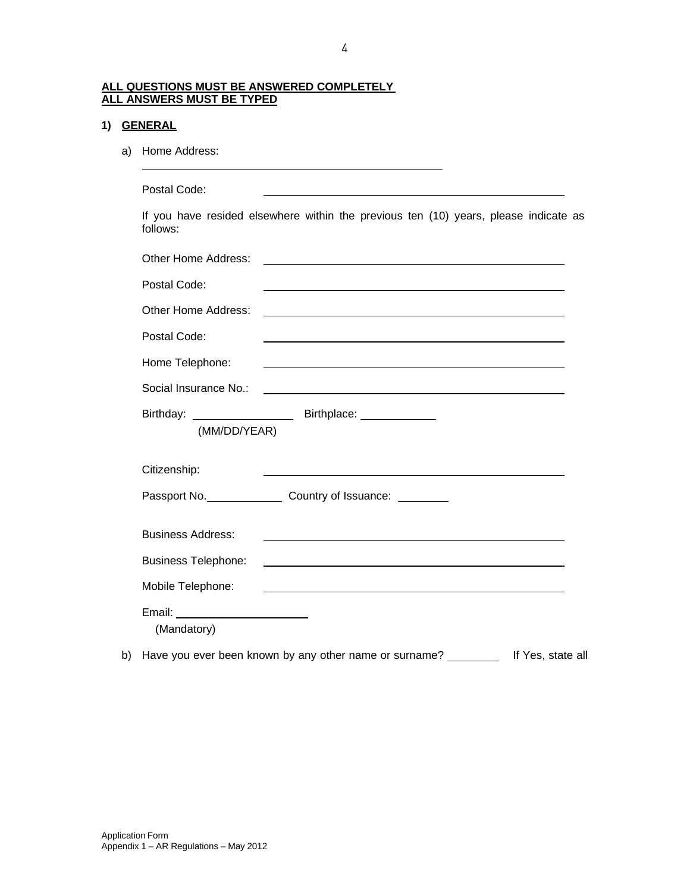#### **ALL QUESTIONS MUST BE ANSWERED COMPLETELY ALL ANSWERS MUST BE TYPED**

# **1) GENERAL**

a) Home Address:

Postal Code:

If you have resided elsewhere within the previous ten (10) years, please indicate as follows:

| Other Home Address:                             |                                                                                                                      |
|-------------------------------------------------|----------------------------------------------------------------------------------------------------------------------|
| Postal Code:                                    | <u> 1980 - John Stein, mars and de Britain and de Britain and de Britain and de Britain and de Britain and de Br</u> |
| Other Home Address:                             |                                                                                                                      |
| Postal Code:                                    |                                                                                                                      |
| Home Telephone:                                 |                                                                                                                      |
| Social Insurance No.:                           | <u> 1989 - Johann Stein, Amerikaansk politiker (* 1958)</u>                                                          |
| (MM/DD/YEAR)                                    |                                                                                                                      |
| Citizenship:                                    | <u> 1980 - Johann Barbara, martxa alemaniar amerikan a</u>                                                           |
|                                                 | Passport No. Country of Issuance: 2000                                                                               |
| <b>Business Address:</b>                        | <u> 1989 - Johann Barn, fransk politik (d. 1989)</u>                                                                 |
| <b>Business Telephone:</b>                      |                                                                                                                      |
| Mobile Telephone:                               |                                                                                                                      |
| Email: _________________________<br>(Mandatory) |                                                                                                                      |

b) Have you ever been known by any other name or surname? If Yes, state all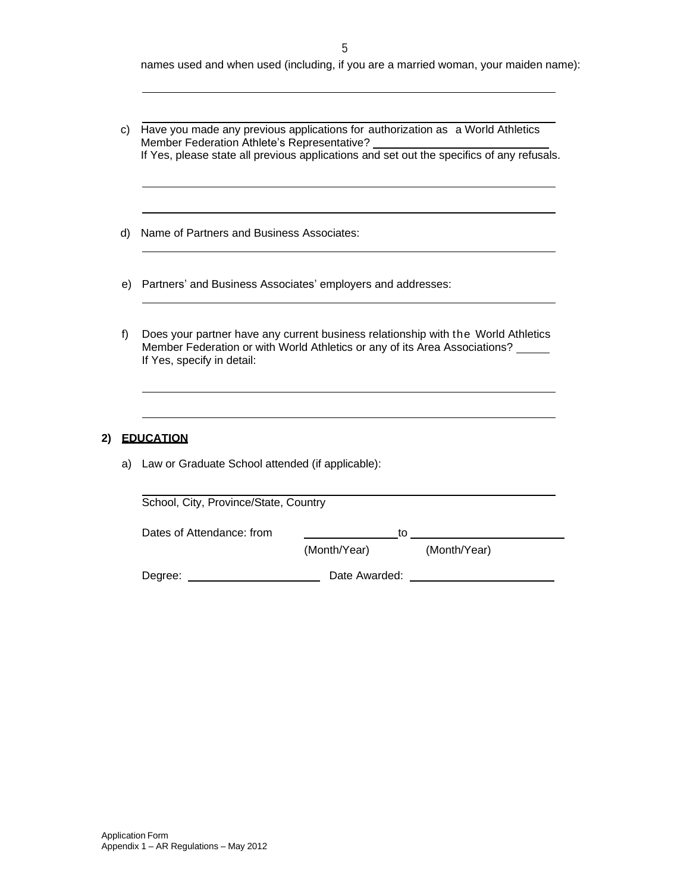names used and when used (including, if you are a married woman, your maiden name):

c) Have you made any previous applications for authorization as a World Athletics Member Federation Athlete's Representative? If Yes, please state all previous applications and set out the specifics of any refusals.

d) Name of Partners and Business Associates:

- e) Partners' and Business Associates' employers and addresses:
- f) Does your partner have any current business relationship with the World Athletics Member Federation or with World Athletics or any of its Area Associations? If Yes, specify in detail:

#### **2) EDUCATION**

a) Law or Graduate School attended (if applicable):

| School, City, Province/State, Country |               |    |              |  |
|---------------------------------------|---------------|----|--------------|--|
| Dates of Attendance: from             |               | to |              |  |
|                                       | (Month/Year)  |    | (Month/Year) |  |
| Degree:                               | Date Awarded: |    |              |  |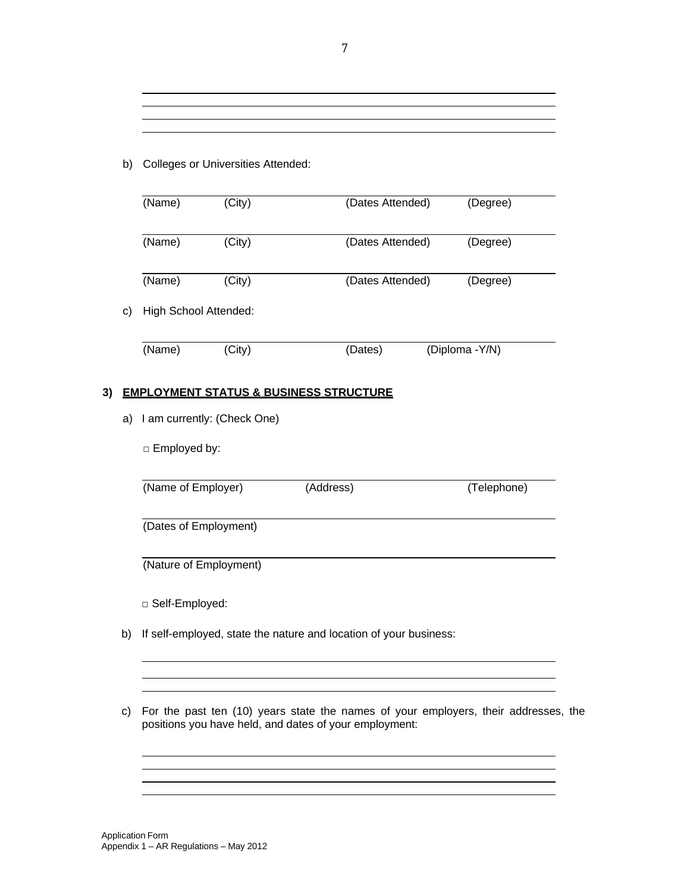## b) Colleges or Universities Attended:

|                       |                                   | (Name)                                                            | (City) | (Dates Attended)                                  |  | (Degree)       |
|-----------------------|-----------------------------------|-------------------------------------------------------------------|--------|---------------------------------------------------|--|----------------|
|                       |                                   | (Name)                                                            | (City) | (Dates Attended)                                  |  | (Degree)       |
|                       |                                   | (Name)                                                            | (City) | (Dates Attended)                                  |  | (Degree)       |
|                       | c)                                | High School Attended:                                             |        |                                                   |  |                |
|                       |                                   | (Name)                                                            | (City) | (Dates)                                           |  | (Diploma -Y/N) |
| 3)                    |                                   |                                                                   |        | <u>EMPLOYMENT STATUS &amp; BUSINESS STRUCTURE</u> |  |                |
|                       | I am currently: (Check One)<br>a) |                                                                   |        |                                                   |  |                |
|                       |                                   | □ Employed by:                                                    |        |                                                   |  |                |
|                       |                                   | (Name of Employer)                                                |        | (Address)                                         |  | (Telephone)    |
| (Dates of Employment) |                                   |                                                                   |        |                                                   |  |                |
|                       |                                   | (Nature of Employment)                                            |        |                                                   |  |                |
|                       |                                   | □ Self-Employed:                                                  |        |                                                   |  |                |
|                       | b)                                | If self-employed, state the nature and location of your business: |        |                                                   |  |                |

c) For the past ten (10) years state the names of your employers, their addresses, the positions you have held, and dates of your employment:

<u> 1989 - Johann Stoff, deutscher Stoffen und der Stoffen und der Stoffen und der Stoffen und der Stoffen und der</u> <u> 1989 - Johann Stoff, Amerikaansk politiker († 1908)</u>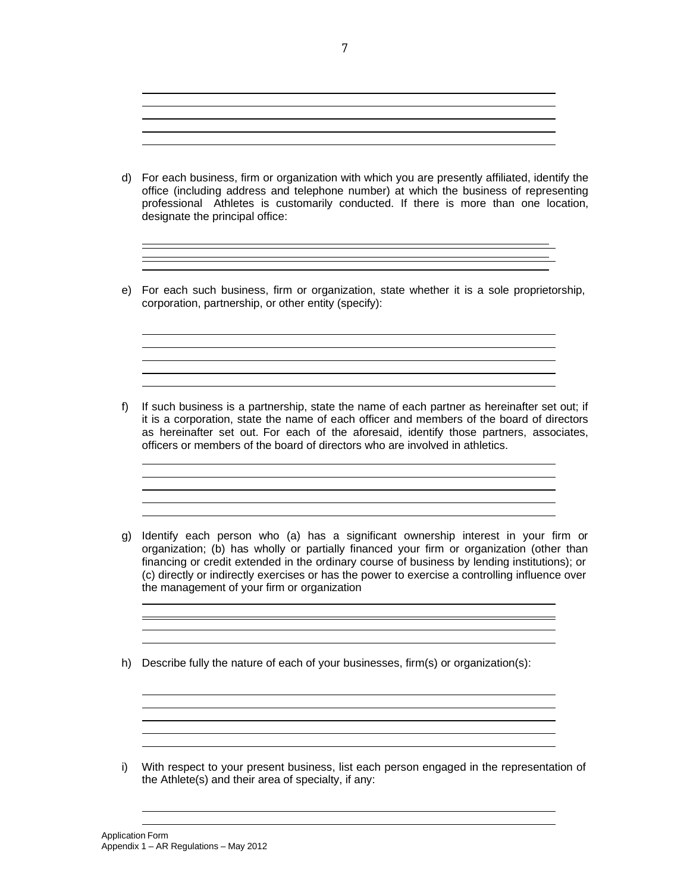d) For each business, firm or organization with which you are presently affiliated, identify the office (including address and telephone number) at which the business of representing professional Athletes is customarily conducted. If there is more than one location, designate the principal office:

e) For each such business, firm or organization, state whether it is a sole proprietorship, corporation, partnership, or other entity (specify):

f) If such business is a partnership, state the name of each partner as hereinafter set out; if it is a corporation, state the name of each officer and members of the board of directors as hereinafter set out. For each of the aforesaid, identify those partners, associates, officers or members of the board of directors who are involved in athletics.

<u> 1989 - Johann Stoff, amerikansk politiker (d. 1989)</u>

<u> 1989 - Johann Stoff, deutscher Stoffen und der Stoffen und der Stoffen und der Stoffen und der Stoffen und de</u>

- g) Identify each person who (a) has a significant ownership interest in your firm or organization; (b) has wholly or partially financed your firm or organization (other than financing or credit extended in the ordinary course of business by lending institutions); or (c) directly or indirectly exercises or has the power to exercise a controlling influence over the management of your firm or organization
- h) Describe fully the nature of each of your businesses, firm(s) or organization(s):

i) With respect to your present business, list each person engaged in the representation of the Athlete(s) and their area of specialty, if any:

<u> 1989 - Johann Stoff, deutscher Stoff, der Stoff, der Stoff, der Stoff, der Stoff, der Stoff, der Stoff, der S</u> 

Application Form Appendix 1 – AR Regulations – May 2012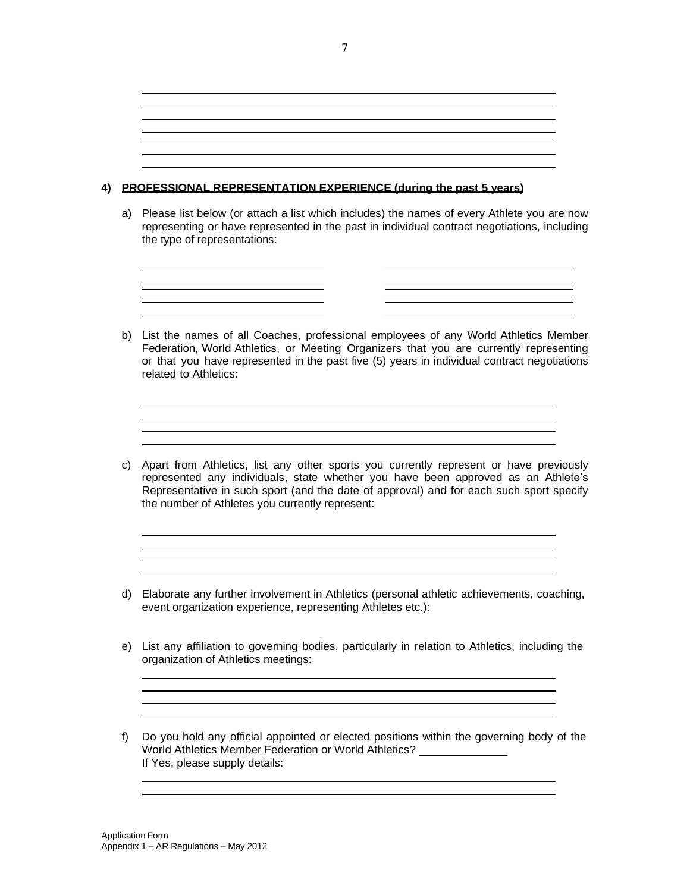## **4) PROFESSIONAL REPRESENTATION EXPERIENCE (during the past 5 years)**

a) Please list below (or attach a list which includes) the names of every Athlete you are now representing or have represented in the past in individual contract negotiations, including the type of representations:



c) Apart from Athletics, list any other sports you currently represent or have previously represented any individuals, state whether you have been approved as an Athlete's Representative in such sport (and the date of approval) and for each such sport specify the number of Athletes you currently represent:

<u> 1980 - Johann Barn, fransk politik (d. 1980)</u>

d) Elaborate any further involvement in Athletics (personal athletic achievements, coaching, event organization experience, representing Athletes etc.):

<u> 1989 - Andrea Stadt, fransk politik (d. 1989)</u> 

e) List any affiliation to governing bodies, particularly in relation to Athletics, including the organization of Athletics meetings: 

> <u> 1989 - Johann Barn, mars ann an t-Amhain ann an t-Amhain an t-Amhain an t-Amhain an t-Amhain an t-Amhain an t-</u> <u> 1989 - Andrea Station, amerikansk politik (d. 1989)</u>

f) Do you hold any official appointed or elected positions within the governing body of the World Athletics Member Federation or World Athletics? If Yes, please supply details:

7

related to Athletics: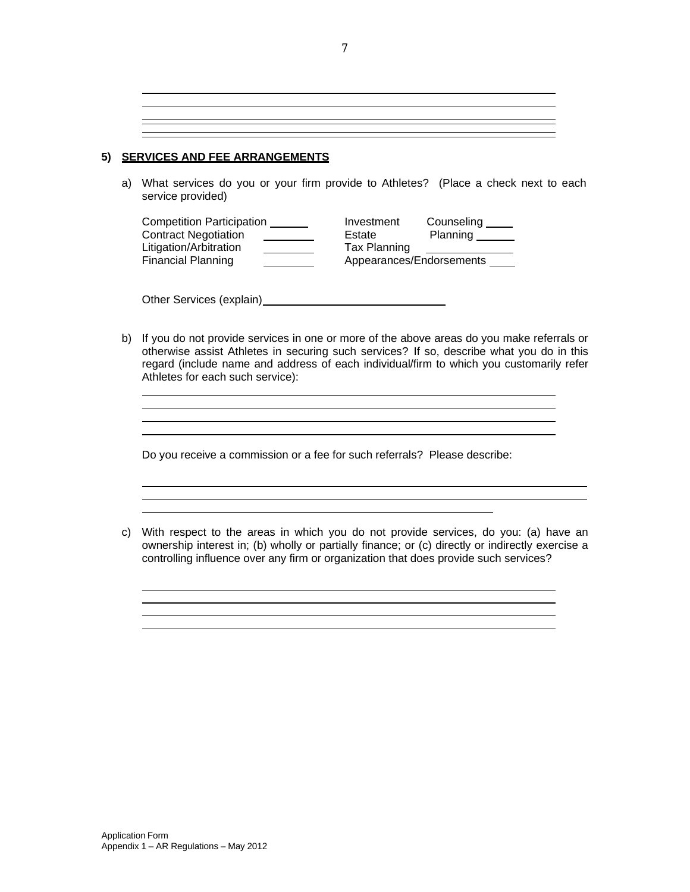**5) SERVICES AND FEE ARRANGEMENTS**

a) What services do you or your firm provide to Athletes? (Place a check next to each service provided)

| <b>Competition Participation</b> | Investment   | Counseling               |
|----------------------------------|--------------|--------------------------|
| <b>Contract Negotiation</b>      | Estate       | Planning                 |
| Litigation/Arbitration           | Tax Planning |                          |
| Financial Planning               |              | Appearances/Endorsements |

Other Services (explain)<br>
<u>Other Services</u> (explain)

b) If you do not provide services in one or more of the above areas do you make referrals or otherwise assist Athletes in securing such services? If so, describe what you do in this regard (include name and address of each individual/firm to which you customarily refer Athletes for each such service):

> <u> 1989 - Johann Stoff, deutscher Stoffen und der Stoffen und der Stoffen und der Stoffen und der Stoffen und der</u>

Do you receive a commission or a fee for such referrals? Please describe:

c) With respect to the areas in which you do not provide services, do you: (a) have an ownership interest in; (b) wholly or partially finance; or (c) directly or indirectly exercise a controlling influence over any firm or organization that does provide such services?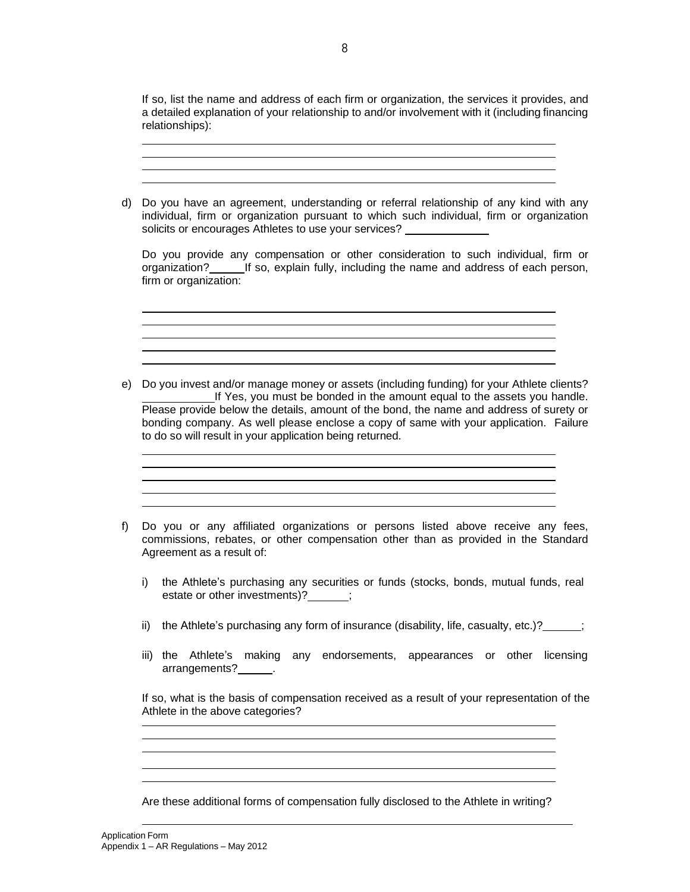If so, list the name and address of each firm or organization, the services it provides, and a detailed explanation of your relationship to and/or involvement with it (including financing relationships):

d) Do you have an agreement, understanding or referral relationship of any kind with any individual, firm or organization pursuant to which such individual, firm or organization solicits or encourages Athletes to use your services? Do you provide any compensation or other consideration to such individual, firm or organization? If so, explain fully, including the name and address of each person, firm or organization: <u> 1989 - Johann Stoff, amerikansk politiker (d. 1989)</u> e) Do you invest and/or manage money or assets (including funding) for your Athlete clients? If Yes, you must be bonded in the amount equal to the assets you handle. Please provide below the details, amount of the bond, the name and address of surety or bonding company. As well please enclose a copy of same with your application. Failure to do so will result in your application being returned. <u> 1989 - Johann Barn, mars ann an t-Amhain Aonaich an t-Aonaich an t-Aonaich ann an t-Aonaich ann an t-Aonaich</u> f) Do you or any affiliated organizations or persons listed above receive any fees, commissions, rebates, or other compensation other than as provided in the Standard Agreement as a result of: i) the Athlete's purchasing any securities or funds (stocks, bonds, mutual funds, real estate or other investments)?  $\hspace{1.5cm}$ ; ii) the Athlete's purchasing any form of insurance (disability, life, casualty, etc.)?  $\frac{1}{2}$ iii) the Athlete's making any endorsements, appearances or other licensing arrangements? . If so, what is the basis of compensation received as a result of your representation of the Athlete in the above categories? Are these additional forms of compensation fully disclosed to the Athlete in writing?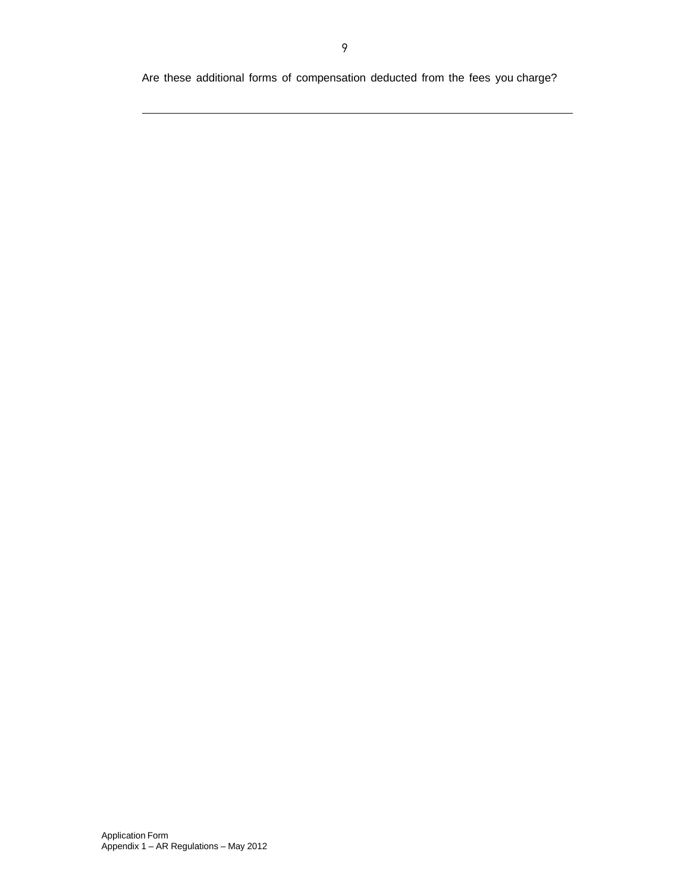Are these additional forms of compensation deducted from the fees you charge?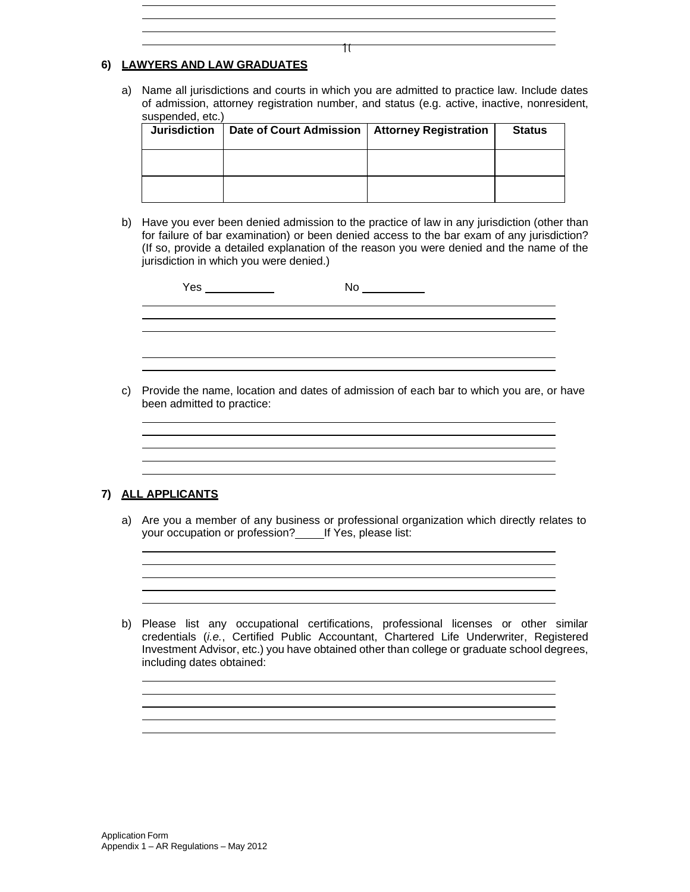## **6) LAWYERS AND LAW GRADUATES**

a) Name all jurisdictions and courts in which you are admitted to practice law. Include dates of admission, attorney registration number, and status (e.g. active, inactive, nonresident, suspended, etc.)

| <b>Jurisdiction</b> | Date of Court Admission   Attorney Registration | <b>Status</b> |
|---------------------|-------------------------------------------------|---------------|
|                     |                                                 |               |
|                     |                                                 |               |

b) Have you ever been denied admission to the practice of law in any jurisdiction (other than for failure of bar examination) or been denied access to the bar exam of any jurisdiction? (If so, provide a detailed explanation of the reason you were denied and the name of the jurisdiction in which you were denied.)

| Yes | No |  |
|-----|----|--|
|     |    |  |
|     |    |  |
|     |    |  |
|     |    |  |

c) Provide the name, location and dates of admission of each bar to which you are, or have been admitted to practice:

#### **7) ALL APPLICANTS**

a) Are you a member of any business or professional organization which directly relates to your occupation or profession? \_\_\_\_\_ If Yes, please list:

b) Please list any occupational certifications, professional licenses or other similar credentials (*i.e.*, Certified Public Accountant, Chartered Life Underwriter, Registered Investment Advisor, etc.) you have obtained other than college or graduate school degrees, including dates obtained:

 $\pi$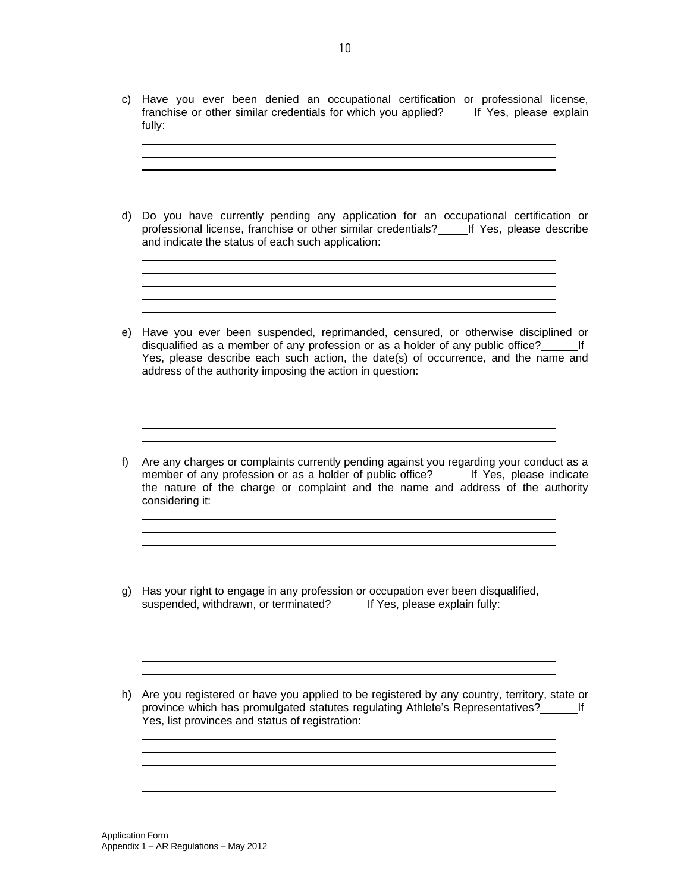c) Have you ever been denied an occupational certification or professional license, franchise or other similar credentials for which you applied? Fig. 7 Yes, please explain fully:

<u> 1989 - Johann Stein, mars an deutscher Stein und der Stein und der Stein und der Stein und der Stein und der</u> <u> 1989 - Johann Barn, fransk politik (d. 1989)</u>

d) Do you have currently pending any application for an occupational certification or professional license, franchise or other similar credentials? \_\_\_\_\_ If Yes, please describe and indicate the status of each such application:

<u> 1989 - Johann Stoff, Amerikaansk politiker († 1908)</u>

<u> 1989 - Johann Stoff, deutscher Stoff, der Stoff, der Stoff, der Stoff, der Stoff, der Stoff, der Stoff, der S</u>

- e) Have you ever been suspended, reprimanded, censured, or otherwise disciplined or disqualified as a member of any profession or as a holder of any public office? If Yes, please describe each such action, the date(s) of occurrence, and the name and address of the authority imposing the action in question:
- f) Are any charges or complaints currently pending against you regarding your conduct as a member of any profession or as a holder of public office? If Yes, please indicate the nature of the charge or complaint and the name and address of the authority considering it:

<u> 1989 - Johann Stein, marwolaethau a bhann an t-Amhair ann an t-Amhair an t-Amhair an t-Amhair an t-Amhair an</u>

<u> 1980 - Johann Barbara, martxa a</u>

<u> 1980 - Johann Barn, fransk politik (f. 1980)</u>

- g) Has your right to engage in any profession or occupation ever been disqualified, suspended, withdrawn, or terminated? If Yes, please explain fully:
- h) Are you registered or have you applied to be registered by any country, territory, state or province which has promulgated statutes regulating Athlete's Representatives? If Yes, list provinces and status of registration:

<u> 1989 - Johann Barn, mars ann an t-Amhain Aonaich an t-Aonaich an t-Aonaich ann an t-Aonaich ann an t-Aonaich</u>

<u> 1989 - Johann Stoff, Amerikaansk politiker († 1908)</u>

<u> 1989 - Johann Stoff, deutscher Stoff, der Stoff, der Stoff, der Stoff, der Stoff, der Stoff, der Stoff, der S</u> <u> 1989 - Johann Barbara, martxa al III-lea (h. 1989).</u>

Application Form Appendix 1 – AR Regulations – May 2012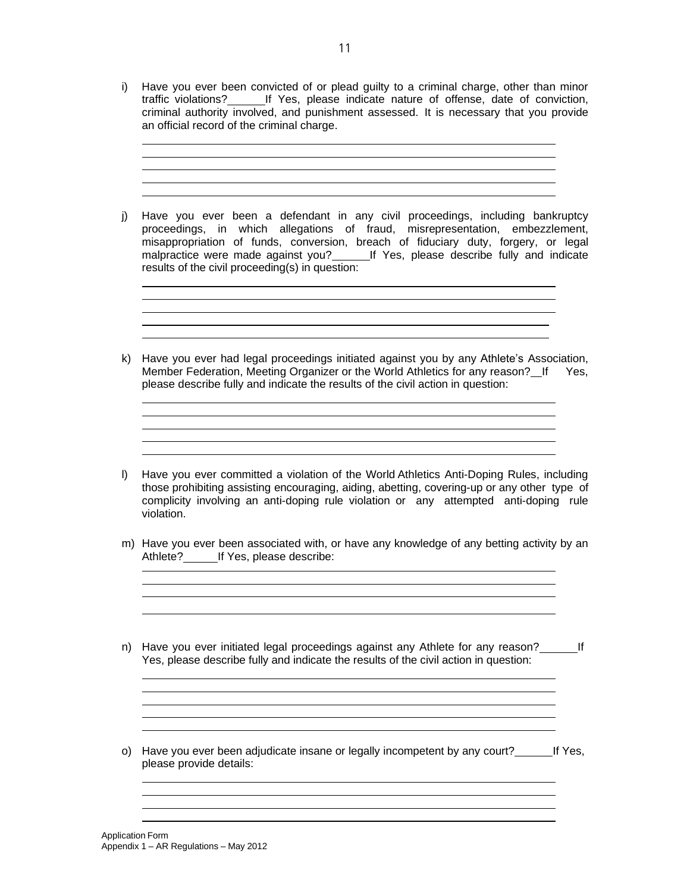i) Have you ever been convicted of or plead guilty to a criminal charge, other than minor traffic violations? If Yes, please indicate nature of offense, date of conviction, criminal authority involved, and punishment assessed. It is necessary that you provide an official record of the criminal charge.

> <u> 1989 - Andrea Stadt, fransk politik (d. 1989)</u> <u> 1989 - Johann Stoff, deutscher Stoffen und der Stoffen und der Stoffen und der Stoffen und der Stoffen und der</u> <u> 1989 - Johann Stein, mars an deus Amerikaansk kommunister (\* 1958)</u>

j) Have you ever been a defendant in any civil proceedings, including bankruptcy proceedings, in which allegations of fraud, misrepresentation, embezzlement, misappropriation of funds, conversion, breach of fiduciary duty, forgery, or legal malpractice were made against you?\_\_\_\_\_\_\_\_If Yes, please describe fully and indicate results of the civil proceeding(s) in question:

> <u> 1989 - Johann Stoff, deutscher Stoffen und der Stoffen und der Stoffen und der Stoffen und der Stoffen und der</u> <u> 1989 - Johann Stoff, deutscher Stoff, der Stoff, der Stoff, der Stoff, der Stoff, der Stoff, der Stoff, der S</u> <u> 1989 - Johann Barn, amerikansk politiker (d. 1989)</u>

k) Have you ever had legal proceedings initiated against you by any Athlete's Association, Member Federation, Meeting Organizer or the World Athletics for any reason? If Yes, please describe fully and indicate the results of the civil action in question:

> <u> 1989 - Johann Stoff, deutscher Stoff, der Stoff, der Stoff, der Stoff, der Stoff, der Stoff, der Stoff, der S</u>

- l) Have you ever committed a violation of the World Athletics Anti-Doping Rules, including those prohibiting assisting encouraging, aiding, abetting, covering-up or any other type of complicity involving an anti-doping rule violation or any attempted anti-doping rule violation.
- m) Have you ever been associated with, or have any knowledge of any betting activity by an Athlete? If Yes, please describe:

<u> 1989 - Johann Stein, marwolaethau a bhann an t-Amhainn an t-Amhainn an t-Amhainn an t-Amhainn an t-Amhainn a</u> <u> 1989 - Johann Stoff, amerikansk politiker (d. 1989)</u>

<u> 1980 - Johann Barnett, filosof amerikan bisa da</u>

n) Have you ever initiated legal proceedings against any Athlete for any reason? If Yes, please describe fully and indicate the results of the civil action in question:

<u> 1989 - Johann Stoff, Amerikaansk politiker († 1908)</u> <u> 1989 - Johann Barbara, martxa alemaniar amerikan a</u>

<u> 1989 - Johann Barbara, martxa alemaniar amerikan a</u>

o) Have you ever been adjudicate insane or legally incompetent by any court? If Yes, please provide details:

Application Form Appendix 1 – AR Regulations – May 2012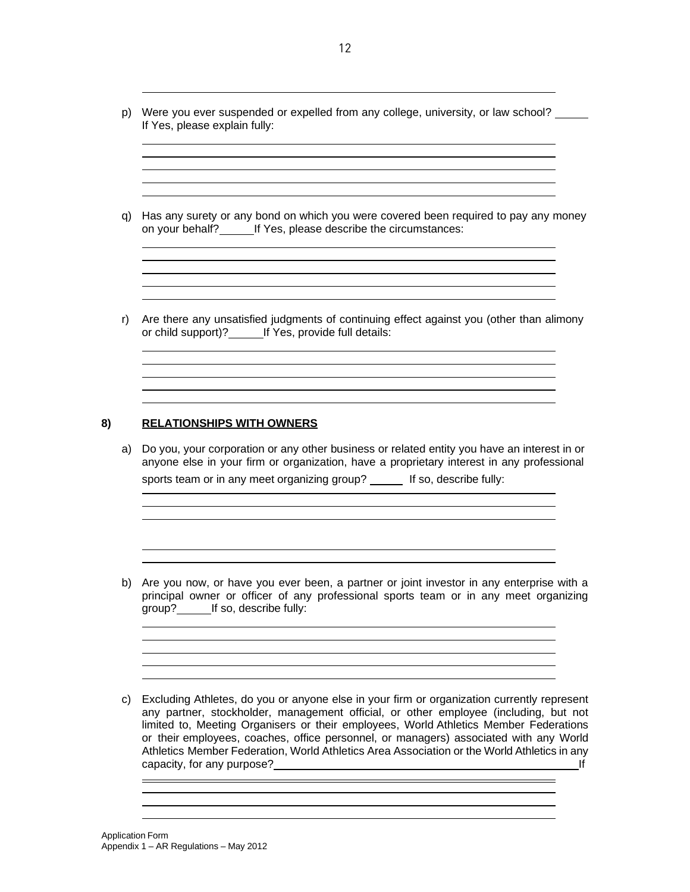p) Were you ever suspended or expelled from any college, university, or law school? If Yes, please explain fully:

<u> 1989 - Johann Stoff, amerikansk politiker (\* 1908)</u> <u> 1989 - Johann Stoff, amerikansk politiker (\* 1908)</u>

q) Has any surety or any bond on which you were covered been required to pay any money on your behalf?\_\_\_\_\_\_\_\_\_\_If Yes, please describe the circumstances:

<u> 1989 - Johann Stein, marwolaethau a bhann an t-Amhainn an t-Amhainn an t-Amhainn an t-Amhainn an t-Amhainn a</u>

<u> 1989 - Johann Stein, marwolaethau a bhann an t-Amhain ann an t-Amhain an t-Amhain an t-Amhain an t-Amhain an </u> <u> 1989 - Johann Stein, marwolaethau a bhann an t-Amhainn an t-Amhainn an t-Amhainn an t-Amhainn an t-Amhainn a</u>

r) Are there any unsatisfied judgments of continuing effect against you (other than alimony or child support)? If Yes, provide full details:

#### **8) RELATIONSHIPS WITH OWNERS**

a) Do you, your corporation or any other business or related entity you have an interest in or anyone else in your firm or organization, have a proprietary interest in any professional sports team or in any meet organizing group? \_\_\_\_\_ If so, describe fully:

and the control of the control of the control of the control of the control of the control of the control of the

b) Are you now, or have you ever been, a partner or joint investor in any enterprise with a principal owner or officer of any professional sports team or in any meet organizing group? If so, describe fully:

<u> 1989 - Johann Barbara, martxa alemaniar amerikan basar da a</u>

c) Excluding Athletes, do you or anyone else in your firm or organization currently represent any partner, stockholder, management official, or other employee (including, but not limited to, Meeting Organisers or their employees, World Athletics Member Federations or their employees, coaches, office personnel, or managers) associated with any World Athletics Member Federation, World Athletics Area Association or the World Athletics in any capacity, for any purpose? If

<u> Andreas Andreas Andreas Andreas Andreas Andreas Andreas Andreas Andreas Andreas Andreas Andreas Andreas Andr</u>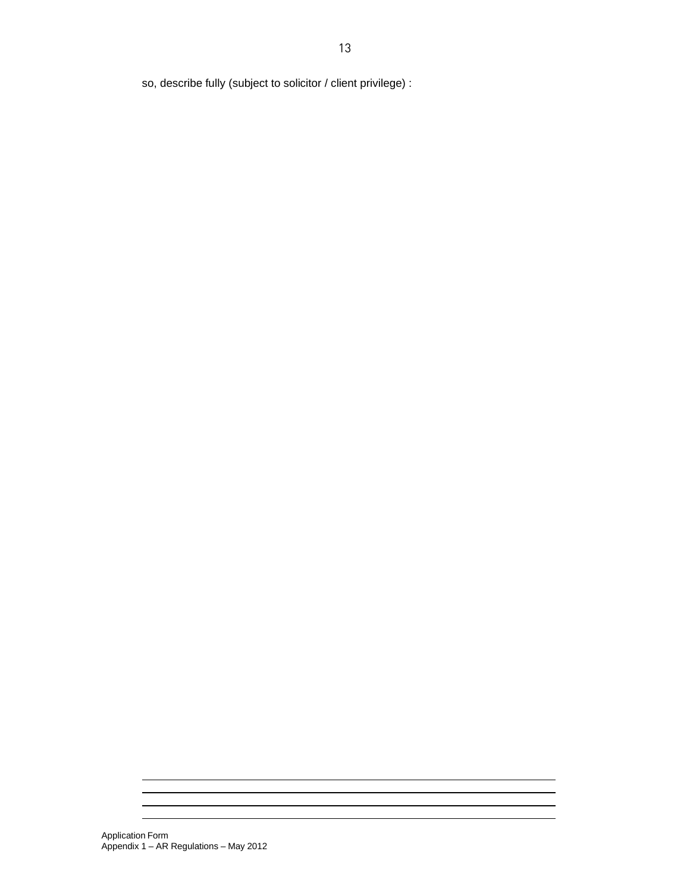so, describe fully (subject to solicitor / client privilege) :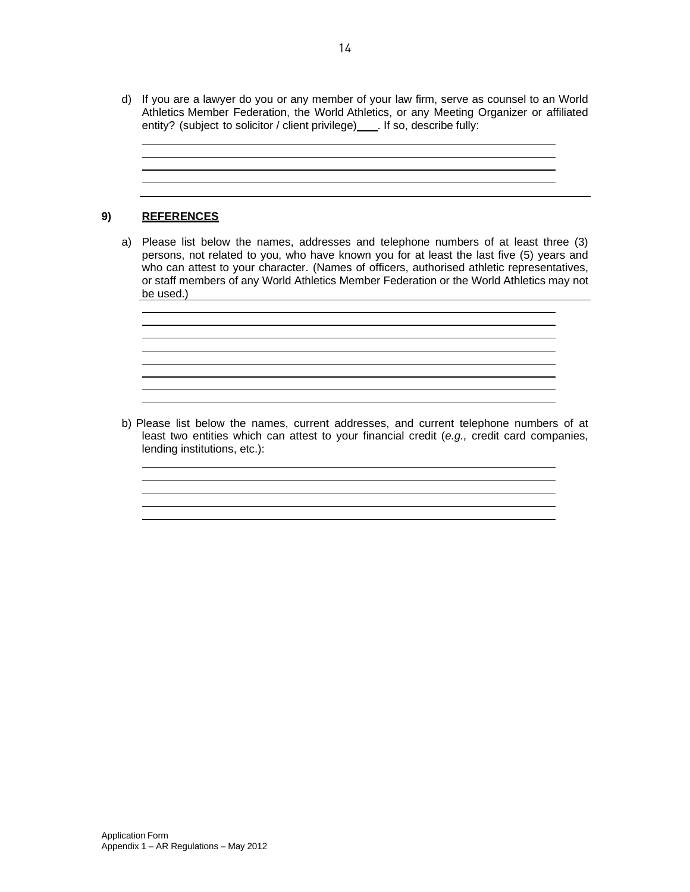d) If you are a lawyer do you or any member of your law firm, serve as counsel to an World Athletics Member Federation, the World Athletics, or any Meeting Organizer or affiliated entity? (subject to solicitor / client privilege) \_\_\_\_. If so, describe fully:

> <u> 1989 - Johann Stein, marwolaethau a bhann an t-Amhainn an t-Amhainn an t-Amhainn an t-Amhainn an t-Amhainn a</u>

# **9) REFERENCES**

a) Please list below the names, addresses and telephone numbers of at least three (3) persons, not related to you, who have known you for at least the last five (5) years and who can attest to your character. (Names of officers, authorised athletic representatives, or staff members of any World Athletics Member Federation or the World Athletics may not be used.)

> <u> 1980 - Johann Barn, fransk politik (f. 1980)</u> <u> 1989 - Johann Barn, mars and de Brasilian (b. 1989)</u> <u> 1989 - Johann Stoff, deutscher Stoff, der Stoff, der Stoff, der Stoff, der Stoff, der Stoff, der Stoff, der S</u> <u> 1989 - Johann Stein, marwolaethau a bhann an t-Amhainn an t-Amhainn an t-Amhainn an t-Amhainn an t-Amhainn a</u>

b) Please list below the names, current addresses, and current telephone numbers of at least two entities which can attest to your financial credit (*e.g.,* credit card companies, lending institutions, etc.):

> <u> 1980 - Johann Barbara, martxa alemaniar argametar a martxa a shekara a shekara a shekara a shekara a shekara</u> and the control of the control of the control of the control of the control of the control of the control of the